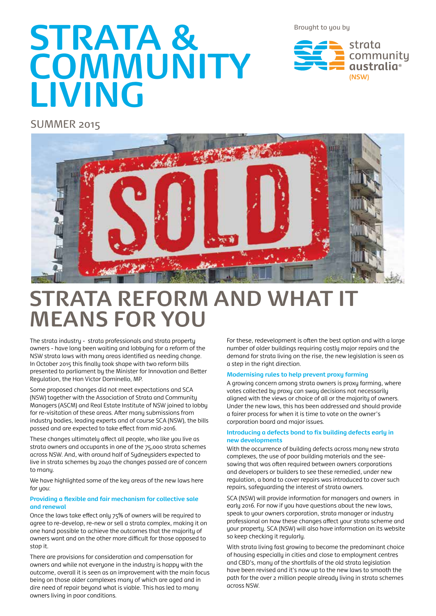Brought to you by

# **STRATA & COMMUNITY LIVING**

strata community qustralia<sup>®</sup> **(NSW)**

SUMMER 2015



## **STRATA REFORM AND WHAT IT MEANS FOR YOU**

The strata industry - strata professionals and strata property owners - have long been waiting and lobbying for a reform of the NSW strata laws with many areas identified as needing change. In October 2015 this finally took shape with two reform bills presented to parliament by the Minister for Innovation and Better Regulation, the Hon Victor Dominello, MP.

Some proposed changes did not meet expectations and SCA (NSW) together with the Association of Strata and Community Managers (ASCM) and Real Estate Institute of NSW joined to lobby for re-visitation of these areas. After many submissions from industry bodies, leading experts and of course SCA (NSW), the bills passed and are expected to take effect from mid-2016.

These changes ultimately affect all people, who like you live as strata owners and occupants in one of the 75,000 strata schemes across NSW. And, with around half of Sydneysiders expected to live in strata schemes by 2040 the changes passed are of concern to many.

We have highlighted some of the key areas of the new laws here for you:

### **Providing a flexible and fair mechanism for collective sale and renewal**

Once the laws take effect only 75% of owners will be required to agree to re-develop, re-new or sell a strata complex, making it on one hand possible to achieve the outcomes that the majority of owners want and on the other more difficult for those opposed to stop it.

There are provisions for consideration and compensation for owners and while not everyone in the industry is happy with the outcome, overall it is seen as an improvement with the main focus being on those older complexes many of which are aged and in dire need of repair beyond what is viable. This has led to many owners living in poor conditions.

For these, redevelopment is often the best option and with a large number of older buildings requiring costly major repairs and the demand for strata living on the rise, the new legislation is seen as a step in the right direction.

### **Modernising rules to help prevent proxy farming**

A growing concern among strata owners is proxy farming, where votes collected by proxy can sway decisions not necessarily aligned with the views or choice of all or the majority of owners. Under the new laws, this has been addressed and should provide a fairer process for when it is time to vote on the owner's corporation board and major issues.

### **Introducing a defects bond to fix building defects early in new developments**

With the occurrence of building defects across many new strata complexes, the use of poor building materials and the seesawing that was often required between owners corporations and developers or builders to see these remedied, under new regulation, a bond to cover repairs was introduced to cover such repairs, safeguarding the interest of strata owners.

SCA (NSW) will provide information for managers and owners in early 2016. For now if you have questions about the new laws, speak to your owners corporation, strata manager or industry professional on how these changes affect your strata scheme and your property. SCA (NSW) will also have information on its website so keep checking it regularly.

With strata living fast growing to become the predominant choice of housing especially in cities and close to employment centres and CBD's, many of the shortfalls of the old strata legislation have been revised and it's now up to the new laws to smooth the path for the over 2 million people already living in strata schemes across NSW.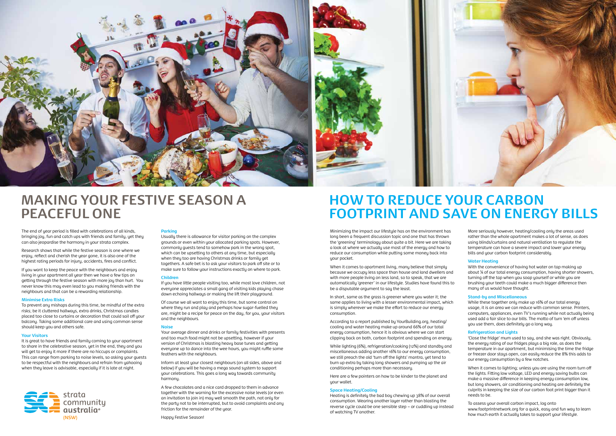When it comes to apartment living, many believe that simply because we occupy less space than house and land dwellers and with more people living on less land, so to speak, that we are automatically 'greener' in our lifestyle. Studies have found this to be a disputable argument to say the least.

In short, same as the grass is greener where you water it; the same applies to living with a lesser environmental impact, which is simply wherever we make the effort to reduce our energy consumption.

Heating is definitely the bad boy chewing up 38% of our overall consumption. Wearing another layer rather than blasting the reverse cycle could be one sensible step – or cuddling up instead of watching TV another. **how much earth in the warning for the excessive noise levels (or even**<br>
an invitation to join in) may well smooth the path, not only for<br>
an invitation to ioin in) may well smooth the path, not only for<br>
the party not to

According to a report published by YourBuilding.org, heating/ cooling and water heating make up around 66% of our total energy consumption, hence it is obvious where we can start clipping back on both, carbon footprint and spending on energy.

More seriously however, heating/cooling only the greas used rather than the whole apartment makes a lot of sense, as does using blinds/curtains and natural ventilation to regulate the temperature can have a severe impact and lower your energy bills and your carbon footprint considerably.

While lighting (6%), refrigeration/cooking (12%) and standby and miscellaneous adding another 16% to our energy consumption, we still preach the old 'turn off the lights' mantra, yet tend to burn up extra by taking long showers and pumping up the air conditioning perhaps more than necessary.

Here are a few pointers on how to be kinder to the planet and your wallet.

#### **Space Heating/Cooling**

The end of year period is filled with celebrations of all kinds, bringing joy, fun and catch ups with friends and family, yet they can also jeopardise the harmony in your strata complex.

### **Water Heating**

With the convenience of having hot water on tap making up about ¼ of our total energy consumption, having shorter showers, turning off the tap when you soap yourself or while you are brushing your teeth could make a much bigger difference then many of us would have thought.

### **Stand-by and Miscellaneous**

It is great to have friends and family coming to your apartment to share in the celebrative season, yet in the end, they and you will get to enjou it more if there are no hiccups or complaints. This can range from parking to noise levels, so asking your guests to be respectful with the neighbours and refrain from yahooing when they leave is advisable, especially if it is late at night.



While these together only make up 16% of our total energy usage, it is an area we can reduce with common sense. Printers, computers, appliances, even TV's running while not actually being used add a fair slice to our bills. The motto of turn 'em off unless you use them, does definitely go a long way.

#### **Refrigeration and Lights**

If you have little people visiting too, while most love children, not everyone appreciates a small gang of visiting kids playing chase down echoing hallways or making the lift their playaround.

> 'Close the fridge' mum used to say, and she was right. Obviously, the energy rating of our fridges plays a big role, as does the temperature in our apartment, but minimising the time the fridge or freezer door stays open, can easily reduce the 8% this adds to our energy consumption by a few notches.

Inform at least your closest neighbours (on all sides, above and below) if you will be having a mega sound system to support your celebrations. This goes a long way towards community harmony

When it comes to lighting; unless you are using the room turn off the lights. Fitting low voltage, LED and energy saving bulbs can make a massive difference in keeping energy consumption low, but long showers, air conditioning and heating are definitely the culprits in keeping the size of our carbon foot print bigger than it needs to be.

To assess your overall carbon impact, log onto www.footprintnetwork.org for a quick, easy and fun way to learn



### **MAKING YOUR FESTIVE SEASON A PEACEFUL ONE**

### **HOW TO REDUCE YOUR CARBON FOOTPRINT AND SAVE ON ENERGY BILLS**

Minimizing the impact our lifestule has on the environment has long been a frequent discussion topic and one that has thrown the 'greening' terminology about quite a bit. Here we are taking a look at where we actually use most of the energy and how to reduce our consumption while putting some money back into your pocket.

Research shows that while the festive season is one where we enjoy, reflect and cherish the year gone, it is also one of the highest rating periods for injury, accidents, fires and conflict.

If you want to keep the peace with the neighbours and enjoy living in your apartment all year then we have a few tips on getting through the festive season with more joy than hurt. You never know this may even lead to you making friends with the neighbours and that can be a rewarding relationship.

#### **Minimise Extra Risks**

To prevent any mishaps during this time, be mindful of the extra risks; be it cluttered hallways, extra drinks, Christmas candles placed too close to curtains or decoration that could sail off your balcony. Taking some additional care and using common sense should keep you and others safe.

#### **Your Visitors**

### **Parking**

Usually there is allowance for visitor parking on the complex grounds or even within your allocated parking spots. However, commonly guests tend to somehow park in the wrong spot, which can be upsetting to others at any time, but especially when they too are having Christmas drinks or family get togethers. A safe bet is to ask your visitors to park off site or to make sure to follow your instructions exactly on where to park.

#### **Children**

Of course we all want to enjoy this time, but some control on where they run and play and perhaps how sugar-fuelled they are, might be a recipe for peace on the day, for you, your visitors and the neighbours.

#### **Noise**

Your average dinner and drinks or family festivities with presents and too much food might not be upsetting, however if your version of Christmas is blasting heavy base tunes and getting everyone up to dance into the wee hours, you might ruffle some feathers with the neighbours.

A few chocolates and a nice card dropped to them in advance together with the warning for the excessive noise levels (or even an invitation to join in) may well smooth the path, not only for the party not to be interrupted, but to avoid complaints and any friction for the remainder of the year.

Happy Festive Season!